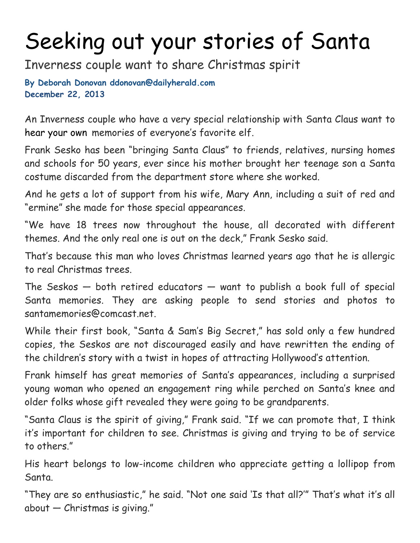## Seeking out your stories of Santa

Inverness couple want to share Christmas spirit

**By Deborah Donovan ddonovan@dailyherald.com December 22, 2013**

An Inverness couple who have a very special relationship with Santa Claus want to hear your own memories of everyone's favorite elf.

Frank Sesko has been "bringing Santa Claus" to friends, relatives, nursing homes and schools for 50 years, ever since his mother brought her teenage son a Santa costume discarded from the department store where she worked.

And he gets a lot of support from his wife, Mary Ann, including a suit of red and "ermine" she made for those special appearances.

"We have 18 trees now throughout the house, all decorated with different themes. And the only real one is out on the deck," Frank Sesko said.

That's because this man who loves Christmas learned years ago that he is allergic to real Christmas trees.

The Seskos  $-$  both retired educators  $-$  want to publish a book full of special Santa memories. They are asking people to send stories and photos to santamemories@comcast.net.

While their first book, "Santa & Sam's Big Secret," has sold only a few hundred copies, the Seskos are not discouraged easily and have rewritten the ending of the children's story with a twist in hopes of attracting Hollywood's attention.

Frank himself has great memories of Santa's appearances, including a surprised young woman who opened an engagement ring while perched on Santa's knee and older folks whose gift revealed they were going to be grandparents.

"Santa Claus is the spirit of giving," Frank said. "If we can promote that, I think it's important for children to see. Christmas is giving and trying to be of service to others."

His heart belongs to low-income children who appreciate getting a lollipop from Santa.

"They are so enthusiastic," he said. "Not one said 'Is that all?'" That's what it's all about — Christmas is giving."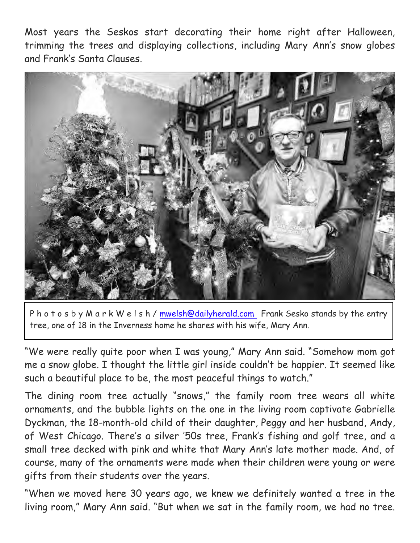Most years the Seskos start decorating their home right after Halloween, trimming the trees and displaying collections, including Mary Ann's snow globes and Frank's Santa Clauses.



P h o t o s b y M a r k W e l s h / mwelsh@dailyherald.com Frank Sesko stands by the entry tree, one of 18 in the Inverness home he shares with his wife, Mary Ann.

"We were really quite poor when I was young," Mary Ann said. "Somehow mom got me a snow globe. I thought the little girl inside couldn't be happier. It seemed like such a beautiful place to be, the most peaceful things to watch."

The dining room tree actually "snows," the family room tree wears all white ornaments, and the bubble lights on the one in the living room captivate Gabrielle Dyckman, the 18-month-old child of their daughter, Peggy and her husband, Andy, of West Chicago. There's a silver '50s tree, Frank's fishing and golf tree, and a small tree decked with pink and white that Mary Ann's late mother made. And, of course, many of the ornaments were made when their children were young or were gifts from their students over the years.

"When we moved here 30 years ago, we knew we definitely wanted a tree in the living room," Mary Ann said. "But when we sat in the family room, we had no tree.